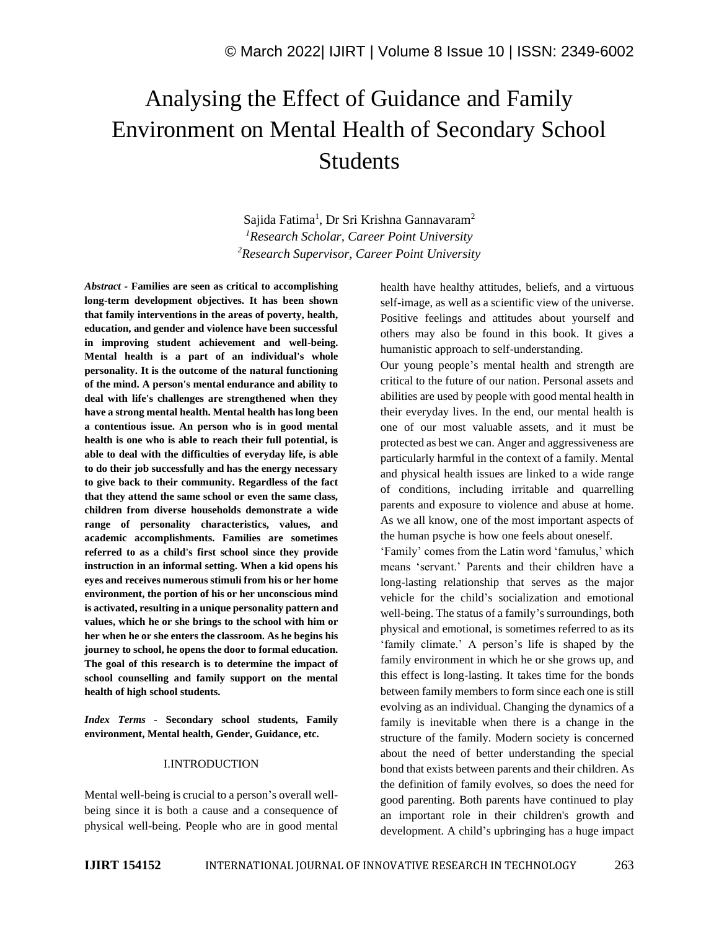# Analysing the Effect of Guidance and Family Environment on Mental Health of Secondary School Students

Sajida Fatima<sup>1</sup>, Dr Sri Krishna Gannavaram<sup>2</sup> *<sup>1</sup>Research Scholar, Career Point University <sup>2</sup>Research Supervisor, Career Point University*

*Abstract -* **Families are seen as critical to accomplishing long-term development objectives. It has been shown that family interventions in the areas of poverty, health, education, and gender and violence have been successful in improving student achievement and well-being. Mental health is a part of an individual's whole personality. It is the outcome of the natural functioning of the mind. A person's mental endurance and ability to deal with life's challenges are strengthened when they have a strong mental health. Mental health has long been a contentious issue. An person who is in good mental health is one who is able to reach their full potential, is able to deal with the difficulties of everyday life, is able to do their job successfully and has the energy necessary to give back to their community. Regardless of the fact that they attend the same school or even the same class, children from diverse households demonstrate a wide range of personality characteristics, values, and academic accomplishments. Families are sometimes referred to as a child's first school since they provide instruction in an informal setting. When a kid opens his eyes and receives numerous stimuli from his or her home environment, the portion of his or her unconscious mind is activated, resulting in a unique personality pattern and values, which he or she brings to the school with him or her when he or she enters the classroom. As he begins his journey to school, he opens the door to formal education. The goal of this research is to determine the impact of school counselling and family support on the mental health of high school students.**

*Index Terms -* **Secondary school students, Family environment, Mental health, Gender, Guidance, etc.**

#### I.INTRODUCTION

Mental well-being is crucial to a person's overall wellbeing since it is both a cause and a consequence of physical well-being. People who are in good mental health have healthy attitudes, beliefs, and a virtuous self-image, as well as a scientific view of the universe. Positive feelings and attitudes about yourself and others may also be found in this book. It gives a humanistic approach to self-understanding.

Our young people's mental health and strength are critical to the future of our nation. Personal assets and abilities are used by people with good mental health in their everyday lives. In the end, our mental health is one of our most valuable assets, and it must be protected as best we can. Anger and aggressiveness are particularly harmful in the context of a family. Mental and physical health issues are linked to a wide range of conditions, including irritable and quarrelling parents and exposure to violence and abuse at home. As we all know, one of the most important aspects of the human psyche is how one feels about oneself.

'Family' comes from the Latin word 'famulus,' which means 'servant.' Parents and their children have a long-lasting relationship that serves as the major vehicle for the child's socialization and emotional well-being. The status of a family's surroundings, both physical and emotional, is sometimes referred to as its 'family climate.' A person's life is shaped by the family environment in which he or she grows up, and this effect is long-lasting. It takes time for the bonds between family members to form since each one is still evolving as an individual. Changing the dynamics of a family is inevitable when there is a change in the structure of the family. Modern society is concerned about the need of better understanding the special bond that exists between parents and their children. As the definition of family evolves, so does the need for good parenting. Both parents have continued to play an important role in their children's growth and development. A child's upbringing has a huge impact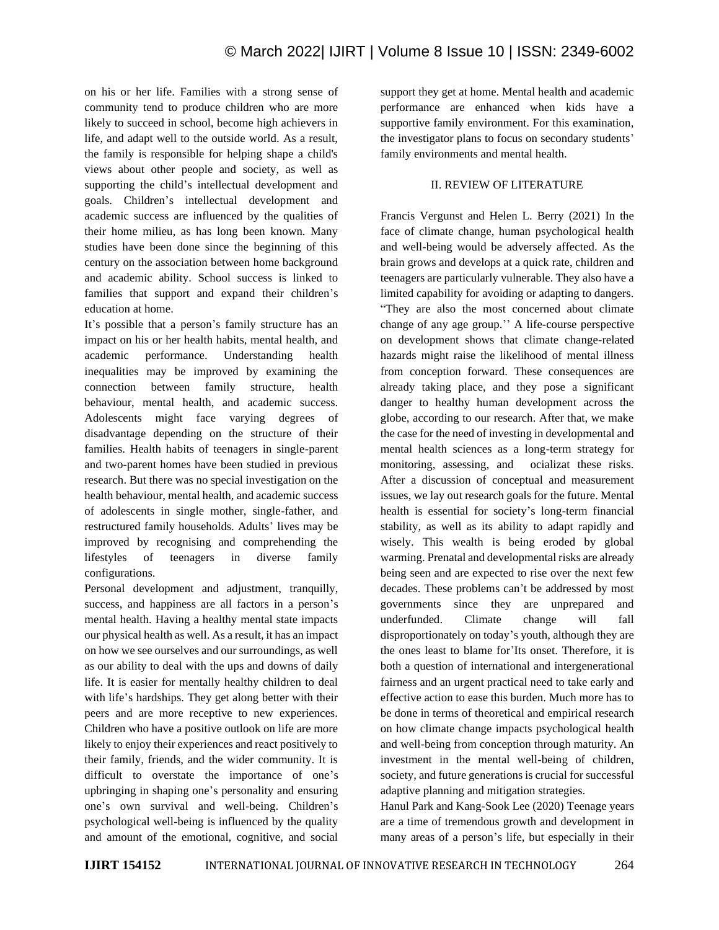on his or her life. Families with a strong sense of community tend to produce children who are more likely to succeed in school, become high achievers in life, and adapt well to the outside world. As a result, the family is responsible for helping shape a child's views about other people and society, as well as supporting the child's intellectual development and goals. Children's intellectual development and academic success are influenced by the qualities of their home milieu, as has long been known. Many studies have been done since the beginning of this century on the association between home background and academic ability. School success is linked to families that support and expand their children's education at home.

It's possible that a person's family structure has an impact on his or her health habits, mental health, and academic performance. Understanding health inequalities may be improved by examining the connection between family structure, health behaviour, mental health, and academic success. Adolescents might face varying degrees of disadvantage depending on the structure of their families. Health habits of teenagers in single-parent and two-parent homes have been studied in previous research. But there was no special investigation on the health behaviour, mental health, and academic success of adolescents in single mother, single-father, and restructured family households. Adults' lives may be improved by recognising and comprehending the lifestyles of teenagers in diverse family configurations.

Personal development and adjustment, tranquilly, success, and happiness are all factors in a person's mental health. Having a healthy mental state impacts our physical health as well. As a result, it has an impact on how we see ourselves and our surroundings, as well as our ability to deal with the ups and downs of daily life. It is easier for mentally healthy children to deal with life's hardships. They get along better with their peers and are more receptive to new experiences. Children who have a positive outlook on life are more likely to enjoy their experiences and react positively to their family, friends, and the wider community. It is difficult to overstate the importance of one's upbringing in shaping one's personality and ensuring one's own survival and well-being. Children's psychological well-being is influenced by the quality and amount of the emotional, cognitive, and social support they get at home. Mental health and academic performance are enhanced when kids have a supportive family environment. For this examination, the investigator plans to focus on secondary students' family environments and mental health.

# II. REVIEW OF LITERATURE

Francis Vergunst and Helen L. Berry (2021) In the face of climate change, human psychological health and well-being would be adversely affected. As the brain grows and develops at a quick rate, children and teenagers are particularly vulnerable. They also have a limited capability for avoiding or adapting to dangers. "They are also the most concerned about climate change of any age group.'' A life-course perspective on development shows that climate change-related hazards might raise the likelihood of mental illness from conception forward. These consequences are already taking place, and they pose a significant danger to healthy human development across the globe, according to our research. After that, we make the case for the need of investing in developmental and mental health sciences as a long-term strategy for monitoring, assessing, and ocializat these risks. After a discussion of conceptual and measurement issues, we lay out research goals for the future. Mental health is essential for society's long-term financial stability, as well as its ability to adapt rapidly and wisely. This wealth is being eroded by global warming. Prenatal and developmental risks are already being seen and are expected to rise over the next few decades. These problems can't be addressed by most governments since they are unprepared and underfunded. Climate change will fall disproportionately on today's youth, although they are the ones least to blame for'Its onset. Therefore, it is both a question of international and intergenerational fairness and an urgent practical need to take early and effective action to ease this burden. Much more has to be done in terms of theoretical and empirical research on how climate change impacts psychological health and well-being from conception through maturity. An investment in the mental well-being of children, society, and future generations is crucial for successful adaptive planning and mitigation strategies.

Hanul Park and Kang-Sook Lee (2020) Teenage years are a time of tremendous growth and development in many areas of a person's life, but especially in their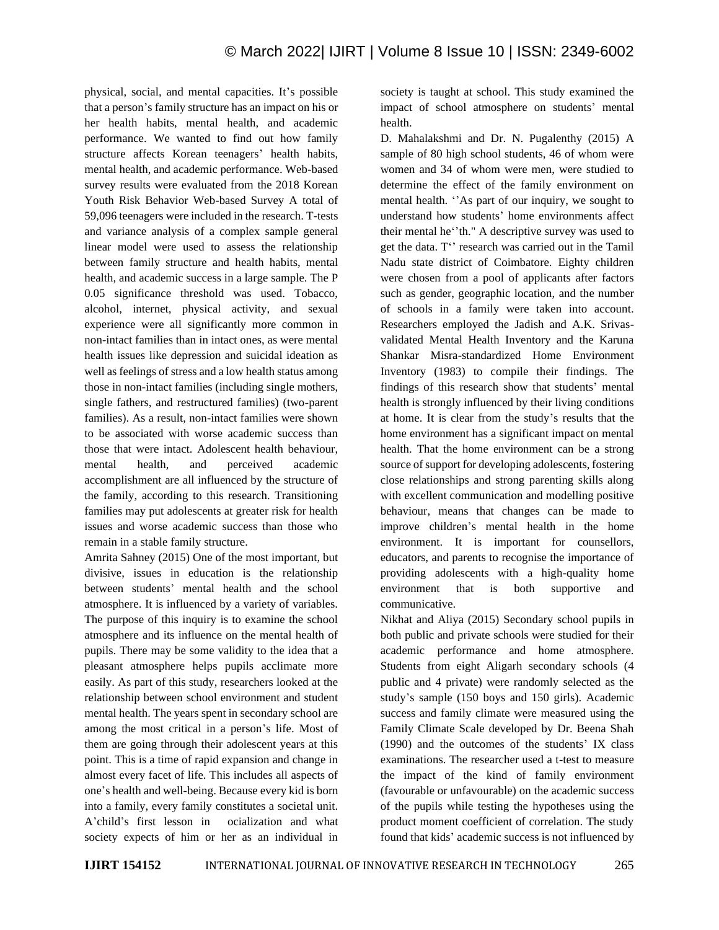physical, social, and mental capacities. It's possible that a person's family structure has an impact on his or her health habits, mental health, and academic performance. We wanted to find out how family structure affects Korean teenagers' health habits, mental health, and academic performance. Web-based survey results were evaluated from the 2018 Korean Youth Risk Behavior Web-based Survey A total of 59,096 teenagers were included in the research. T-tests and variance analysis of a complex sample general linear model were used to assess the relationship between family structure and health habits, mental health, and academic success in a large sample. The P 0.05 significance threshold was used. Tobacco, alcohol, internet, physical activity, and sexual experience were all significantly more common in non-intact families than in intact ones, as were mental health issues like depression and suicidal ideation as well as feelings of stress and a low health status among those in non-intact families (including single mothers, single fathers, and restructured families) (two-parent families). As a result, non-intact families were shown to be associated with worse academic success than those that were intact. Adolescent health behaviour, mental health, and perceived academic accomplishment are all influenced by the structure of the family, according to this research. Transitioning families may put adolescents at greater risk for health issues and worse academic success than those who remain in a stable family structure.

Amrita Sahney (2015) One of the most important, but divisive, issues in education is the relationship between students' mental health and the school atmosphere. It is influenced by a variety of variables. The purpose of this inquiry is to examine the school atmosphere and its influence on the mental health of pupils. There may be some validity to the idea that a pleasant atmosphere helps pupils acclimate more easily. As part of this study, researchers looked at the relationship between school environment and student mental health. The years spent in secondary school are among the most critical in a person's life. Most of them are going through their adolescent years at this point. This is a time of rapid expansion and change in almost every facet of life. This includes all aspects of one's health and well-being. Because every kid is born into a family, every family constitutes a societal unit. A'child's first lesson in ocialization and what society expects of him or her as an individual in society is taught at school. This study examined the impact of school atmosphere on students' mental health.

D. Mahalakshmi and Dr. N. Pugalenthy (2015) A sample of 80 high school students, 46 of whom were women and 34 of whom were men, were studied to determine the effect of the family environment on mental health. ''As part of our inquiry, we sought to understand how students' home environments affect their mental he''th." A descriptive survey was used to get the data. T'' research was carried out in the Tamil Nadu state district of Coimbatore. Eighty children were chosen from a pool of applicants after factors such as gender, geographic location, and the number of schools in a family were taken into account. Researchers employed the Jadish and A.K. Srivasvalidated Mental Health Inventory and the Karuna Shankar Misra-standardized Home Environment Inventory (1983) to compile their findings. The findings of this research show that students' mental health is strongly influenced by their living conditions at home. It is clear from the study's results that the home environment has a significant impact on mental health. That the home environment can be a strong source of support for developing adolescents, fostering close relationships and strong parenting skills along with excellent communication and modelling positive behaviour, means that changes can be made to improve children's mental health in the home environment. It is important for counsellors, educators, and parents to recognise the importance of providing adolescents with a high-quality home environment that is both supportive and communicative.

Nikhat and Aliya (2015) Secondary school pupils in both public and private schools were studied for their academic performance and home atmosphere. Students from eight Aligarh secondary schools (4 public and 4 private) were randomly selected as the study's sample (150 boys and 150 girls). Academic success and family climate were measured using the Family Climate Scale developed by Dr. Beena Shah (1990) and the outcomes of the students' IX class examinations. The researcher used a t-test to measure the impact of the kind of family environment (favourable or unfavourable) on the academic success of the pupils while testing the hypotheses using the product moment coefficient of correlation. The study found that kids' academic success is not influenced by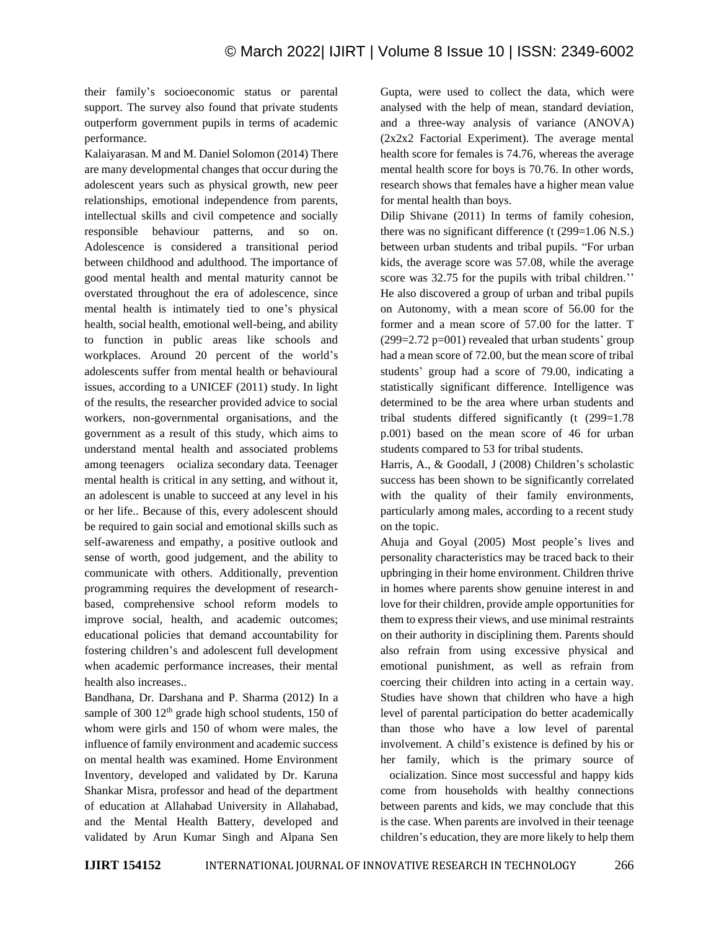their family's socioeconomic status or parental support. The survey also found that private students outperform government pupils in terms of academic performance.

Kalaiyarasan. M and M. Daniel Solomon (2014) There are many developmental changes that occur during the adolescent years such as physical growth, new peer relationships, emotional independence from parents, intellectual skills and civil competence and socially responsible behaviour patterns, and so on. Adolescence is considered a transitional period between childhood and adulthood. The importance of good mental health and mental maturity cannot be overstated throughout the era of adolescence, since mental health is intimately tied to one's physical health, social health, emotional well-being, and ability to function in public areas like schools and workplaces. Around 20 percent of the world's adolescents suffer from mental health or behavioural issues, according to a UNICEF (2011) study. In light of the results, the researcher provided advice to social workers, non-governmental organisations, and the government as a result of this study, which aims to understand mental health and associated problems among teenagers ocializa secondary data. Teenager mental health is critical in any setting, and without it, an adolescent is unable to succeed at any level in his or her life.. Because of this, every adolescent should be required to gain social and emotional skills such as self-awareness and empathy, a positive outlook and sense of worth, good judgement, and the ability to communicate with others. Additionally, prevention programming requires the development of researchbased, comprehensive school reform models to improve social, health, and academic outcomes; educational policies that demand accountability for fostering children's and adolescent full development when academic performance increases, their mental health also increases..

Bandhana, Dr. Darshana and P. Sharma (2012) In a sample of 300  $12<sup>th</sup>$  grade high school students, 150 of whom were girls and 150 of whom were males, the influence of family environment and academic success on mental health was examined. Home Environment Inventory, developed and validated by Dr. Karuna Shankar Misra, professor and head of the department of education at Allahabad University in Allahabad, and the Mental Health Battery, developed and validated by Arun Kumar Singh and Alpana Sen Gupta, were used to collect the data, which were analysed with the help of mean, standard deviation, and a three-way analysis of variance (ANOVA) (2x2x2 Factorial Experiment). The average mental health score for females is 74.76, whereas the average mental health score for boys is 70.76. In other words, research shows that females have a higher mean value for mental health than boys.

Dilip Shivane (2011) In terms of family cohesion, there was no significant difference (t (299=1.06 N.S.) between urban students and tribal pupils. "For urban kids, the average score was 57.08, while the average score was 32.75 for the pupils with tribal children.'' He also discovered a group of urban and tribal pupils on Autonomy, with a mean score of 56.00 for the former and a mean score of 57.00 for the latter. T  $(299=2.72 \text{ p}=001)$  revealed that urban students' group had a mean score of 72.00, but the mean score of tribal students' group had a score of 79.00, indicating a statistically significant difference. Intelligence was determined to be the area where urban students and tribal students differed significantly (t (299=1.78 p.001) based on the mean score of 46 for urban students compared to 53 for tribal students.

Harris, A., & Goodall, J (2008) Children's scholastic success has been shown to be significantly correlated with the quality of their family environments, particularly among males, according to a recent study on the topic.

Ahuja and Goyal (2005) Most people's lives and personality characteristics may be traced back to their upbringing in their home environment. Children thrive in homes where parents show genuine interest in and love for their children, provide ample opportunities for them to express their views, and use minimal restraints on their authority in disciplining them. Parents should also refrain from using excessive physical and emotional punishment, as well as refrain from coercing their children into acting in a certain way. Studies have shown that children who have a high level of parental participation do better academically than those who have a low level of parental involvement. A child's existence is defined by his or her family, which is the primary source of

ocialization. Since most successful and happy kids come from households with healthy connections between parents and kids, we may conclude that this is the case. When parents are involved in their teenage children's education, they are more likely to help them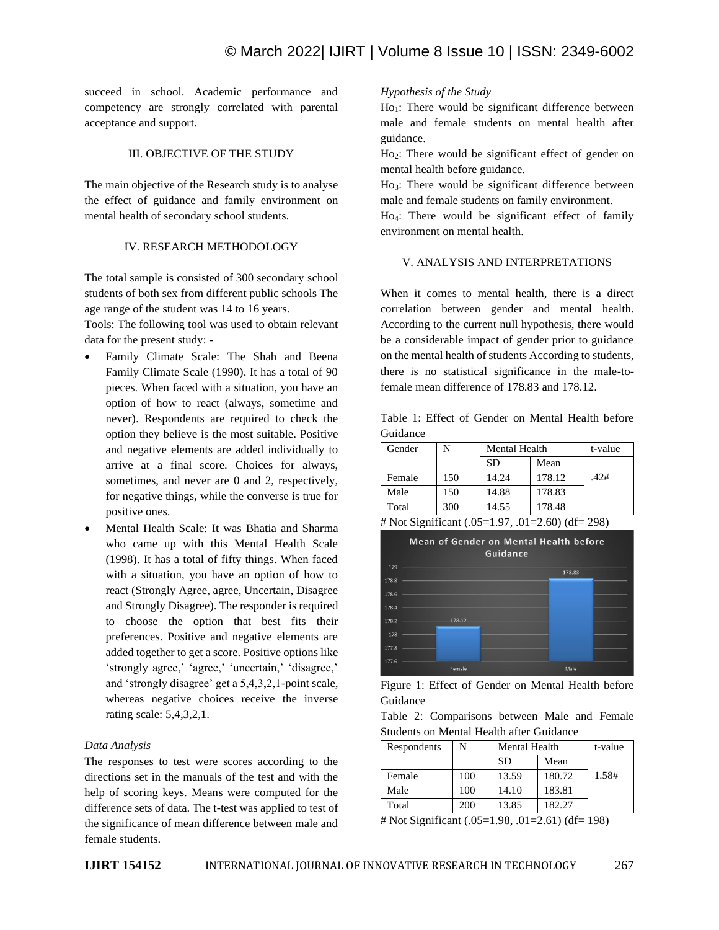succeed in school. Academic performance and competency are strongly correlated with parental acceptance and support.

## III. OBJECTIVE OF THE STUDY

The main objective of the Research study is to analyse the effect of guidance and family environment on mental health of secondary school students.

## IV. RESEARCH METHODOLOGY

The total sample is consisted of 300 secondary school students of both sex from different public schools The age range of the student was 14 to 16 years.

Tools: The following tool was used to obtain relevant data for the present study: -

- Family Climate Scale: The Shah and Beena Family Climate Scale (1990). It has a total of 90 pieces. When faced with a situation, you have an option of how to react (always, sometime and never). Respondents are required to check the option they believe is the most suitable. Positive and negative elements are added individually to arrive at a final score. Choices for always, sometimes, and never are 0 and 2, respectively, for negative things, while the converse is true for positive ones.
- Mental Health Scale: It was Bhatia and Sharma who came up with this Mental Health Scale (1998). It has a total of fifty things. When faced with a situation, you have an option of how to react (Strongly Agree, agree, Uncertain, Disagree and Strongly Disagree). The responder is required to choose the option that best fits their preferences. Positive and negative elements are added together to get a score. Positive options like 'strongly agree,' 'agree,' 'uncertain,' 'disagree,' and 'strongly disagree' get a 5,4,3,2,1-point scale, whereas negative choices receive the inverse rating scale: 5,4,3,2,1.

## *Data Analysis*

The responses to test were scores according to the directions set in the manuals of the test and with the help of scoring keys. Means were computed for the difference sets of data. The t-test was applied to test of the significance of mean difference between male and female students.

## *Hypothesis of the Study*

 $Ho_1$ : There would be significant difference between male and female students on mental health after guidance.

Ho2: There would be significant effect of gender on mental health before guidance.

Ho3: There would be significant difference between male and female students on family environment.

Ho4: There would be significant effect of family environment on mental health.

## V. ANALYSIS AND INTERPRETATIONS

When it comes to mental health, there is a direct correlation between gender and mental health. According to the current null hypothesis, there would be a considerable impact of gender prior to guidance on the mental health of students According to students, there is no statistical significance in the male-tofemale mean difference of 178.83 and 178.12.

Table 1: Effect of Gender on Mental Health before Guidance

| Gender | N   | Mental Health | t-value |      |
|--------|-----|---------------|---------|------|
|        |     | <b>SD</b>     | Mean    |      |
| Female | 150 | 14.24         | 178.12  | .42# |
| Male   | 150 | 14.88         | 178.83  |      |
| Total  | 300 | 14.55         | 178.48  |      |

<sup>#</sup> Not Significant (.05=1.97, .01=2.60) (df= 298)



| Figure 1: Effect of Gender on Mental Health before |  |  |  |  |
|----------------------------------------------------|--|--|--|--|
| Guidance                                           |  |  |  |  |

|  | Table 2: Comparisons between Male and Female    |  |  |
|--|-------------------------------------------------|--|--|
|  | <b>Students on Mental Health after Guidance</b> |  |  |

|     |           | t-value |                      |
|-----|-----------|---------|----------------------|
|     | <b>SD</b> | Mean    |                      |
| 100 | 13.59     | 180.72  | 1.58#                |
| 100 | 14.10     | 183.81  |                      |
| 200 | 13.85     | 182.27  |                      |
|     |           |         | <b>Mental Health</b> |

# Not Significant (.05=1.98, .01=2.61) (df= 198)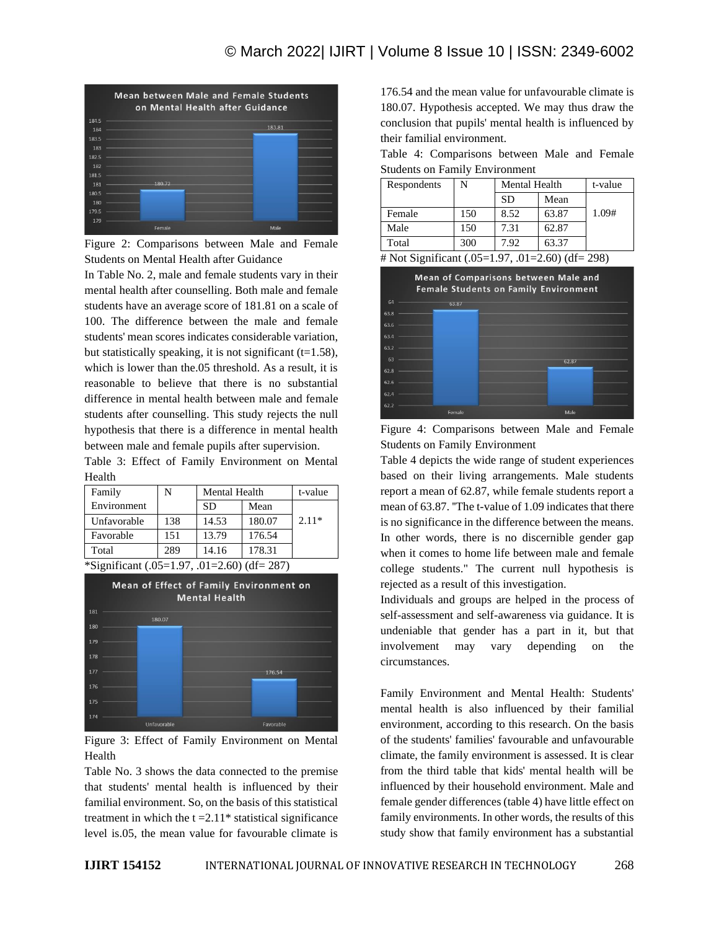

Figure 2: Comparisons between Male and Female Students on Mental Health after Guidance

In Table No. 2, male and female students vary in their mental health after counselling. Both male and female students have an average score of 181.81 on a scale of 100. The difference between the male and female students' mean scores indicates considerable variation, but statistically speaking, it is not significant  $(t=1.58)$ , which is lower than the.05 threshold. As a result, it is reasonable to believe that there is no substantial difference in mental health between male and female students after counselling. This study rejects the null hypothesis that there is a difference in mental health between male and female pupils after supervision.

Table 3: Effect of Family Environment on Mental Health

| Family      | N   | Mental Health | t-value |         |
|-------------|-----|---------------|---------|---------|
| Environment |     | <b>SD</b>     | Mean    |         |
| Unfavorable | 138 | 14.53         | 180.07  | $2.11*$ |
| Favorable   | 151 | 13.79         | 176.54  |         |
| Total       | 289 | 14.16         | 178.31  |         |

\*Significant (.05=1.97, .01=2.60) (df= 287)



Figure 3: Effect of Family Environment on Mental Health

Table No. 3 shows the data connected to the premise that students' mental health is influenced by their familial environment. So, on the basis of this statistical treatment in which the  $t = 2.11*$  statistical significance level is.05, the mean value for favourable climate is 176.54 and the mean value for unfavourable climate is 180.07. Hypothesis accepted. We may thus draw the conclusion that pupils' mental health is influenced by their familial environment.

|  |                                       | Table 4: Comparisons between Male and Female |  |  |
|--|---------------------------------------|----------------------------------------------|--|--|
|  | <b>Students on Family Environment</b> |                                              |  |  |

| Respondents | N   | Mental Health | t-value |       |
|-------------|-----|---------------|---------|-------|
|             |     | <b>SD</b>     | Mean    |       |
| Female      | 150 | 8.52          | 63.87   | 1.09# |
| Male        | 150 | 7.31          | 62.87   |       |
| Total       | 300 | 7.92          | 63.37   |       |

# Not Significant (.05=1.97, .01=2.60) (df= 298)



Figure 4: Comparisons between Male and Female Students on Family Environment

Table 4 depicts the wide range of student experiences based on their living arrangements. Male students report a mean of 62.87, while female students report a mean of 63.87. ''The t-value of 1.09 indicates that there is no significance in the difference between the means. In other words, there is no discernible gender gap when it comes to home life between male and female college students." The current null hypothesis is rejected as a result of this investigation.

Individuals and groups are helped in the process of self-assessment and self-awareness via guidance. It is undeniable that gender has a part in it, but that involvement may vary depending on the circumstances.

Family Environment and Mental Health: Students' mental health is also influenced by their familial environment, according to this research. On the basis of the students' families' favourable and unfavourable climate, the family environment is assessed. It is clear from the third table that kids' mental health will be influenced by their household environment. Male and female gender differences (table 4) have little effect on family environments. In other words, the results of this study show that family environment has a substantial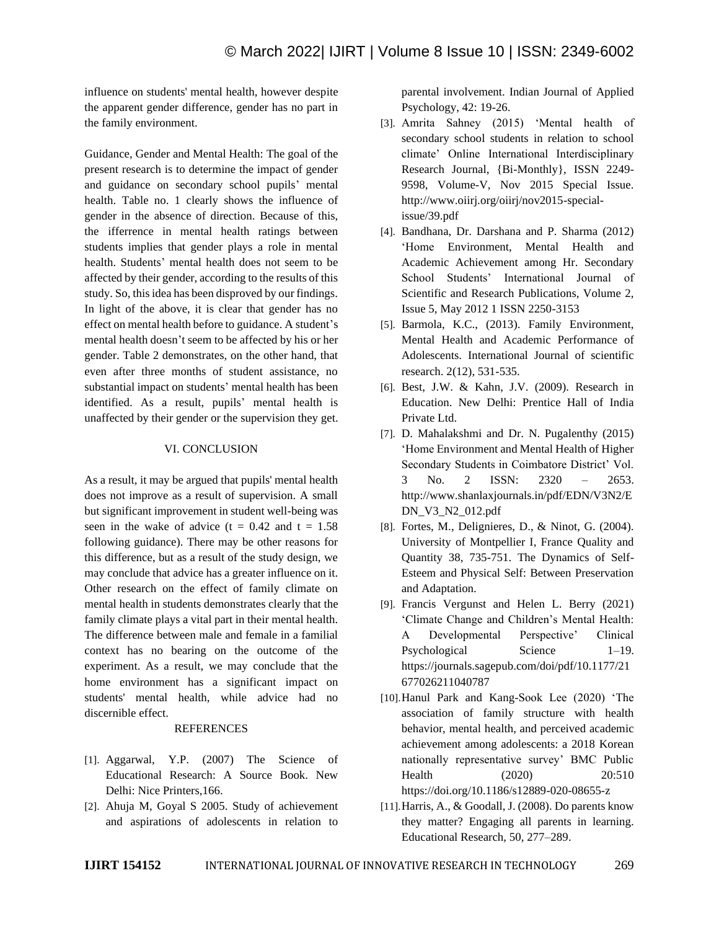influence on students' mental health, however despite the apparent gender difference, gender has no part in the family environment.

Guidance, Gender and Mental Health: The goal of the present research is to determine the impact of gender and guidance on secondary school pupils' mental health. Table no. 1 clearly shows the influence of gender in the absence of direction. Because of this, the ifferrence in mental health ratings between students implies that gender plays a role in mental health. Students' mental health does not seem to be affected by their gender, according to the results of this study. So, this idea has been disproved by our findings. In light of the above, it is clear that gender has no effect on mental health before to guidance. A student's mental health doesn't seem to be affected by his or her gender. Table 2 demonstrates, on the other hand, that even after three months of student assistance, no substantial impact on students' mental health has been identified. As a result, pupils' mental health is unaffected by their gender or the supervision they get.

## VI. CONCLUSION

As a result, it may be argued that pupils' mental health does not improve as a result of supervision. A small but significant improvement in student well-being was seen in the wake of advice  $(t = 0.42$  and  $t = 1.58$ following guidance). There may be other reasons for this difference, but as a result of the study design, we may conclude that advice has a greater influence on it. Other research on the effect of family climate on mental health in students demonstrates clearly that the family climate plays a vital part in their mental health. The difference between male and female in a familial context has no bearing on the outcome of the experiment. As a result, we may conclude that the home environment has a significant impact on students' mental health, while advice had no discernible effect.

#### REFERENCES

- [1]. Aggarwal, Y.P. (2007) The Science of Educational Research: A Source Book. New Delhi: Nice Printers,166.
- [2]. Ahuja M, Goyal S 2005. Study of achievement and aspirations of adolescents in relation to

parental involvement. Indian Journal of Applied Psychology, 42: 19-26.

- [3]. Amrita Sahney (2015) 'Mental health of secondary school students in relation to school climate' Online International Interdisciplinary Research Journal, {Bi-Monthly}, ISSN 2249- 9598, Volume-V, Nov 2015 Special Issue. http://www.oiirj.org/oiirj/nov2015-specialissue/39.pdf
- [4]. Bandhana, Dr. Darshana and P. Sharma (2012) 'Home Environment, Mental Health and Academic Achievement among Hr. Secondary School Students' International Journal of Scientific and Research Publications, Volume 2, Issue 5, May 2012 1 ISSN 2250-3153
- [5]. Barmola, K.C., (2013). Family Environment, Mental Health and Academic Performance of Adolescents. International Journal of scientific research. 2(12), 531-535.
- [6]. Best, J.W. & Kahn, J.V. (2009). Research in Education. New Delhi: Prentice Hall of India Private Ltd.
- [7]. D. Mahalakshmi and Dr. N. Pugalenthy (2015) 'Home Environment and Mental Health of Higher Secondary Students in Coimbatore District' Vol. 3 No. 2 ISSN: 2320 – 2653. http://www.shanlaxjournals.in/pdf/EDN/V3N2/E DN\_V3\_N2\_012.pdf
- [8]. Fortes, M., Delignieres, D., & Ninot, G. (2004). University of Montpellier I, France Quality and Quantity 38, 735-751. The Dynamics of Self-Esteem and Physical Self: Between Preservation and Adaptation.
- [9]. Francis Vergunst and Helen L. Berry (2021) 'Climate Change and Children's Mental Health: A Developmental Perspective' Clinical Psychological Science 1–19. https://journals.sagepub.com/doi/pdf/10.1177/21 677026211040787
- [10].Hanul Park and Kang-Sook Lee (2020) 'The association of family structure with health behavior, mental health, and perceived academic achievement among adolescents: a 2018 Korean nationally representative survey' BMC Public Health (2020) 20:510 https://doi.org/10.1186/s12889-020-08655-z
- [11].Harris, A., & Goodall, J. (2008). Do parents know they matter? Engaging all parents in learning. Educational Research, 50, 277–289.